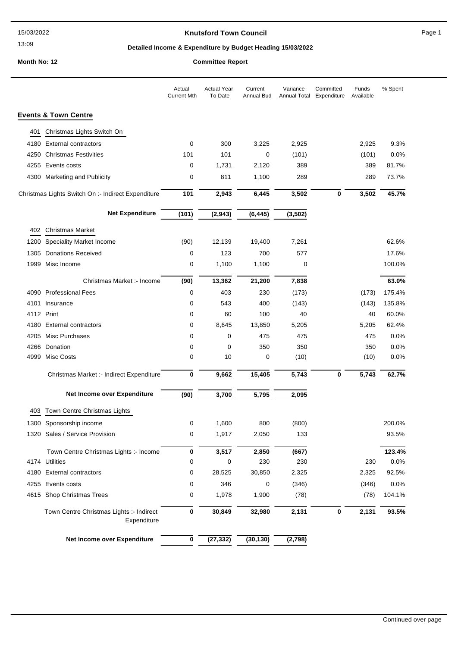#### **Knutsford Town Council Connect Council** Page 1

## **Detailed Income & Expenditure by Budget Heading 15/03/2022**

|  | committee Report |  |
|--|------------------|--|
|  |                  |  |

|            |                                                         | Actual<br><b>Current Mth</b> | <b>Actual Year</b><br>To Date | Current<br>Annual Bud | Variance<br><b>Annual Total</b> | Committed<br>Expenditure | Funds<br>Available | % Spent |
|------------|---------------------------------------------------------|------------------------------|-------------------------------|-----------------------|---------------------------------|--------------------------|--------------------|---------|
|            | <b>Events &amp; Town Centre</b>                         |                              |                               |                       |                                 |                          |                    |         |
| 401        | Christmas Lights Switch On                              |                              |                               |                       |                                 |                          |                    |         |
| 4180       | <b>External contractors</b>                             | 0                            | 300                           | 3,225                 | 2,925                           |                          | 2,925              | 9.3%    |
| 4250       | <b>Christmas Festivities</b>                            | 101                          | 101                           | 0                     | (101)                           |                          | (101)              | 0.0%    |
| 4255       | Events costs                                            | 0                            | 1,731                         | 2,120                 | 389                             |                          | 389                | 81.7%   |
|            | 4300 Marketing and Publicity                            | 0                            | 811                           | 1,100                 | 289                             |                          | 289                | 73.7%   |
|            | Christmas Lights Switch On :- Indirect Expenditure      | 101                          | 2,943                         | 6,445                 | 3,502                           | 0                        | 3,502              | 45.7%   |
|            | <b>Net Expenditure</b>                                  | (101)                        | (2, 943)                      | (6, 445)              | (3, 502)                        |                          |                    |         |
|            | 402 Christmas Market                                    |                              |                               |                       |                                 |                          |                    |         |
| 1200       | <b>Speciality Market Income</b>                         | (90)                         | 12,139                        | 19,400                | 7,261                           |                          |                    | 62.6%   |
| 1305       | <b>Donations Received</b>                               | 0                            | 123                           | 700                   | 577                             |                          |                    | 17.6%   |
| 1999       | Misc Income                                             | 0                            | 1,100                         | 1,100                 | 0                               |                          |                    | 100.0%  |
|            | Christmas Market :- Income                              | (90)                         | 13,362                        | 21,200                | 7,838                           |                          |                    | 63.0%   |
|            | 4090 Professional Fees                                  | 0                            | 403                           | 230                   | (173)                           |                          | (173)              | 175.4%  |
| 4101       | Insurance                                               | 0                            | 543                           | 400                   | (143)                           |                          | (143)              | 135.8%  |
| 4112 Print |                                                         | 0                            | 60                            | 100                   | 40                              |                          | 40                 | 60.0%   |
| 4180       | <b>External contractors</b>                             | 0                            | 8,645                         | 13,850                | 5,205                           |                          | 5,205              | 62.4%   |
| 4205       | Misc Purchases                                          | 0                            | 0                             | 475                   | 475                             |                          | 475                | 0.0%    |
|            | 4266 Donation                                           | 0                            | 0                             | 350                   | 350                             |                          | 350                | 0.0%    |
| 4999       | <b>Misc Costs</b>                                       | 0                            | 10                            | 0                     | (10)                            |                          | (10)               | 0.0%    |
|            | Christmas Market :- Indirect Expenditure                | 0                            | 9,662                         | 15,405                | 5,743                           | $\mathbf 0$              | 5,743              | 62.7%   |
|            | Net Income over Expenditure                             | (90)                         | 3,700                         | 5,795                 | 2,095                           |                          |                    |         |
| 403        | Town Centre Christmas Lights                            |                              |                               |                       |                                 |                          |                    |         |
|            | 1300 Sponsorship income                                 | 0                            | 1,600                         | 800                   | (800)                           |                          |                    | 200.0%  |
|            | 1320 Sales / Service Provision                          | 0                            | 1,917                         | 2,050                 | 133                             |                          |                    | 93.5%   |
|            | Town Centre Christmas Lights :- Income                  | 0                            | 3,517                         | 2,850                 | (667)                           |                          |                    | 123.4%  |
|            | 4174 Utilities                                          | 0                            | 0                             | 230                   | 230                             |                          | 230                | 0.0%    |
|            | 4180 External contractors                               | 0                            | 28,525                        | 30,850                | 2,325                           |                          | 2,325              | 92.5%   |
|            | 4255 Events costs                                       | 0                            | 346                           | 0                     | (346)                           |                          | (346)              | 0.0%    |
|            | 4615 Shop Christmas Trees                               | 0                            | 1,978                         | 1,900                 | (78)                            |                          | (78)               | 104.1%  |
|            | Town Centre Christmas Lights :- Indirect<br>Expenditure | 0                            | 30,849                        | 32,980                | 2,131                           | 0                        | 2,131              | 93.5%   |
|            | Net Income over Expenditure                             | $\bf{0}$                     | (27, 332)                     | (30, 130)             | (2,798)                         |                          |                    |         |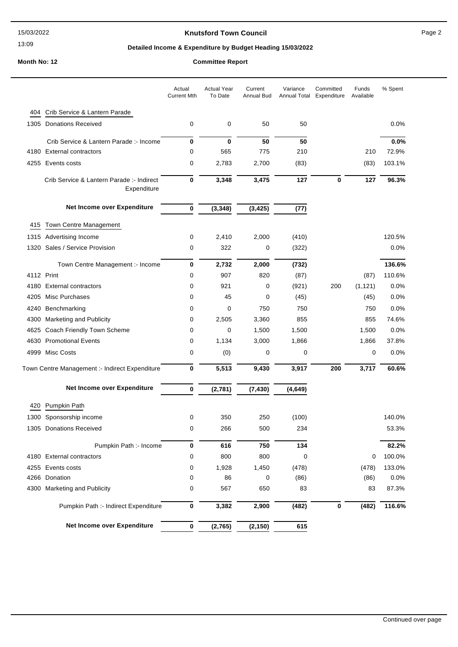#### **Knutsford Town Council Example 2** Page 2

## **Detailed Income & Expenditure by Budget Heading 15/03/2022**

|      |                                                          | Actual<br><b>Current Mth</b> | <b>Actual Year</b><br>To Date | Current<br>Annual Bud | Variance<br><b>Annual Total</b> | Committed<br>Expenditure | Funds<br>Available | % Spent |
|------|----------------------------------------------------------|------------------------------|-------------------------------|-----------------------|---------------------------------|--------------------------|--------------------|---------|
| 404  | Crib Service & Lantern Parade                            |                              |                               |                       |                                 |                          |                    |         |
|      | 1305 Donations Received                                  | 0                            | 0                             | 50                    | 50                              |                          |                    | 0.0%    |
|      | Crib Service & Lantern Parade: - Income                  | $\bf{0}$                     | $\bf{0}$                      | 50                    | 50                              |                          |                    | 0.0%    |
|      | 4180 External contractors                                | 0                            | 565                           | 775                   | 210                             |                          | 210                | 72.9%   |
|      | 4255 Events costs                                        | 0                            | 2,783                         | 2,700                 | (83)                            |                          | (83)               | 103.1%  |
|      | Crib Service & Lantern Parade: - Indirect<br>Expenditure | $\bf{0}$                     | 3,348                         | 3,475                 | 127                             | $\mathbf 0$              | 127                | 96.3%   |
|      | Net Income over Expenditure                              | $\bf{0}$                     | (3, 348)                      | (3, 425)              | (77)                            |                          |                    |         |
| 415  | Town Centre Management                                   |                              |                               |                       |                                 |                          |                    |         |
|      | 1315 Advertising Income                                  | 0                            | 2,410                         | 2,000                 | (410)                           |                          |                    | 120.5%  |
|      | 1320 Sales / Service Provision                           | 0                            | 322                           | 0                     | (322)                           |                          |                    | 0.0%    |
|      | Town Centre Management :- Income                         | 0                            | 2,732                         | 2,000                 | (732)                           |                          |                    | 136.6%  |
|      | 4112 Print                                               | 0                            | 907                           | 820                   | (87)                            |                          | (87)               | 110.6%  |
|      | 4180 External contractors                                | 0                            | 921                           | 0                     | (921)                           | 200                      | (1, 121)           | 0.0%    |
| 4205 | Misc Purchases                                           | 0                            | 45                            | 0                     | (45)                            |                          | (45)               | 0.0%    |
| 4240 | Benchmarking                                             | 0                            | 0                             | 750                   | 750                             |                          | 750                | 0.0%    |
| 4300 | Marketing and Publicity                                  | 0                            | 2,505                         | 3,360                 | 855                             |                          | 855                | 74.6%   |
| 4625 | Coach Friendly Town Scheme                               | 0                            | 0                             | 1,500                 | 1,500                           |                          | 1,500              | 0.0%    |
|      | 4630 Promotional Events                                  | 0                            | 1,134                         | 3,000                 | 1,866                           |                          | 1,866              | 37.8%   |
|      | 4999 Misc Costs                                          | 0                            | (0)                           | 0                     | 0                               |                          | 0                  | 0.0%    |
|      | Town Centre Management :- Indirect Expenditure           | $\pmb{0}$                    | 5,513                         | 9,430                 | 3,917                           | 200                      | 3,717              | 60.6%   |
|      | Net Income over Expenditure                              | $\bf{0}$                     | (2,781)                       | (7, 430)              | (4, 649)                        |                          |                    |         |
| 420  | <b>Pumpkin Path</b>                                      |                              |                               |                       |                                 |                          |                    |         |
| 1300 | Sponsorship income                                       | 0                            | 350                           | 250                   | (100)                           |                          |                    | 140.0%  |
|      | 1305 Donations Received                                  | $\Omega$                     | 266                           | 500                   | 234                             |                          |                    | 53.3%   |
|      | Pumpkin Path :- Income                                   | 0                            | 616                           | 750                   | 134                             |                          |                    | 82.2%   |
|      | 4180 External contractors                                | 0                            | 800                           | 800                   | 0                               |                          | 0                  | 100.0%  |
|      | 4255 Events costs                                        | 0                            | 1,928                         | 1,450                 | (478)                           |                          | (478)              | 133.0%  |
|      | 4266 Donation                                            | 0                            | 86                            | 0                     | (86)                            |                          | (86)               | 0.0%    |
|      | 4300 Marketing and Publicity                             | 0                            | 567                           | 650                   | 83                              |                          | 83                 | 87.3%   |
|      | Pumpkin Path :- Indirect Expenditure                     | 0                            | 3,382                         | 2,900                 | (482)                           | $\pmb{0}$                | (482)              | 116.6%  |
|      | Net Income over Expenditure                              | $\pmb{0}$                    | (2,765)                       | (2, 150)              | 615                             |                          |                    |         |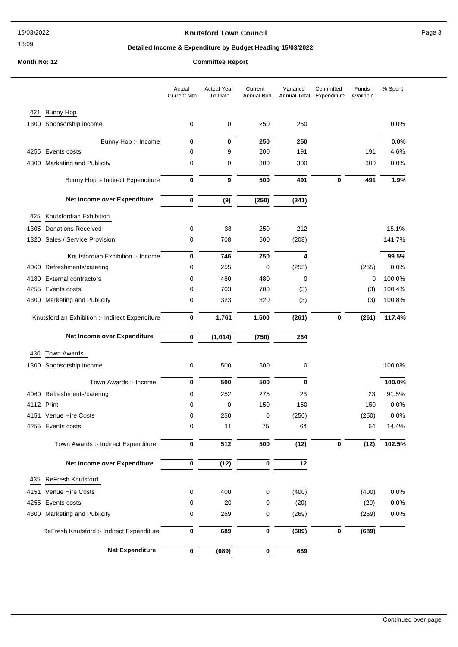#### **Knutsford Town Council Example 20 Apr 20 Apr 20 Apr 20 Apr 20 Apr 20 Apr 20 Apr 20 Apr 20 Apr 20 Apr 20 Apr 20 Apr 20 Apr 20 Apr 20 Apr 20 Apr 20 Apr 20 Apr 20 Apr 20 Apr 20 Apr 20 Apr 20 Apr 20 Apr 20 Apr 20 Apr 20 Apr**

## **Detailed Income & Expenditure by Budget Heading 15/03/2022**

|      |                                                 | Actual<br><b>Current Mth</b> | <b>Actual Year</b><br>To Date | Current<br>Annual Bud | Variance<br>Annual Total | Committed<br>Expenditure | Funds<br>Available | % Spent |
|------|-------------------------------------------------|------------------------------|-------------------------------|-----------------------|--------------------------|--------------------------|--------------------|---------|
| 421  | <b>Bunny Hop</b>                                |                              |                               |                       |                          |                          |                    |         |
| 1300 | Sponsorship income                              | 0                            | 0                             | 250                   | 250                      |                          |                    | 0.0%    |
|      | Bunny Hop :- Income                             | 0                            | 0                             | 250                   | 250                      |                          |                    | 0.0%    |
|      | 4255 Events costs                               | 0                            | 9                             | 200                   | 191                      |                          | 191                | 4.6%    |
|      | 4300 Marketing and Publicity                    | 0                            | 0                             | 300                   | 300                      |                          | 300                | 0.0%    |
|      | Bunny Hop :- Indirect Expenditure               | $\bf{0}$                     | 9                             | 500                   | 491                      | $\bf{0}$                 | 491                | 1.9%    |
|      | Net Income over Expenditure                     | 0                            | (9)                           | (250)                 | (241)                    |                          |                    |         |
| 425  | Knutsfordian Exhibition                         |                              |                               |                       |                          |                          |                    |         |
|      | 1305 Donations Received                         | 0                            | 38                            | 250                   | 212                      |                          |                    | 15.1%   |
|      | 1320 Sales / Service Provision                  | 0                            | 708                           | 500                   | (208)                    |                          |                    | 141.7%  |
|      | Knutsfordian Exhibition :- Income               | $\bf{0}$                     | 746                           | 750                   | 4                        |                          |                    | 99.5%   |
|      | 4060 Refreshments/catering                      | 0                            | 255                           | 0                     | (255)                    |                          | (255)              | 0.0%    |
|      | 4180 External contractors                       | 0                            | 480                           | 480                   | 0                        |                          | 0                  | 100.0%  |
|      | 4255 Events costs                               | 0                            | 703                           | 700                   | (3)                      |                          | (3)                | 100.4%  |
|      | 4300 Marketing and Publicity                    | 0                            | 323                           | 320                   | (3)                      |                          | (3)                | 100.8%  |
|      | Knutsfordian Exhibition :- Indirect Expenditure | 0                            | 1,761                         | 1,500                 | (261)                    | $\bf{0}$                 | (261)              | 117.4%  |
|      | Net Income over Expenditure                     | $\overline{\mathbf{0}}$      | (1,014)                       | (750)                 | 264                      |                          |                    |         |
| 430  | Town Awards                                     |                              |                               |                       |                          |                          |                    |         |
|      | 1300 Sponsorship income                         | 0                            | 500                           | 500                   | 0                        |                          |                    | 100.0%  |
|      | Town Awards :- Income                           | 0                            | 500                           | 500                   | 0                        |                          |                    | 100.0%  |
|      | 4060 Refreshments/catering                      | 0                            | 252                           | 275                   | 23                       |                          | 23                 | 91.5%   |
|      | 4112 Print                                      | 0                            | 0                             | 150                   | 150                      |                          | 150                | 0.0%    |
|      | 4151 Venue Hire Costs                           | 0                            | 250                           | 0                     | (250)                    |                          | (250)              | 0.0%    |
|      | 4255 Events costs                               | 0                            | 11                            | 75                    | 64                       |                          | 64                 | 14.4%   |
|      | Town Awards :- Indirect Expenditure             | 0                            | 512                           | 500                   | (12)                     | 0                        | (12)               | 102.5%  |
|      | Net Income over Expenditure                     | 0                            | (12)                          | $\bf{0}$              | 12                       |                          |                    |         |
| 435  | <b>ReFresh Knutsford</b>                        |                              |                               |                       |                          |                          |                    |         |
| 4151 | Venue Hire Costs                                | 0                            | 400                           | 0                     | (400)                    |                          | (400)              | 0.0%    |
| 4255 | Events costs                                    | 0                            | 20                            | 0                     | (20)                     |                          | (20)               | 0.0%    |
|      | 4300 Marketing and Publicity                    | 0                            | 269                           | 0                     | (269)                    |                          | (269)              | 0.0%    |
|      | ReFresh Knutsford :- Indirect Expenditure       | $\pmb{0}$                    | 689                           | $\bf{0}$              | (689)                    | 0                        | (689)              |         |
|      | <b>Net Expenditure</b>                          | 0                            | (689)                         | 0                     | 689                      |                          |                    |         |
|      |                                                 |                              |                               |                       |                          |                          |                    |         |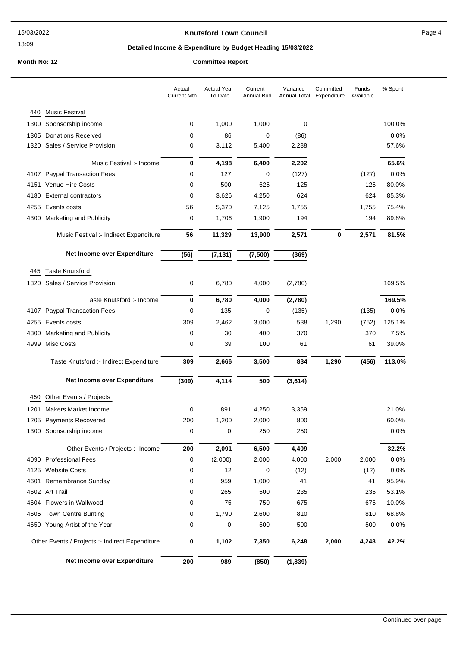#### **Knutsford Town Council Example 20 A Research 20 A Research 20 A Research 20 A Research 20 A Research 20 A Research 20 A Research 20 A Research 20 A Research 20 A Research 20 A Research 20 A Research 20 A Research 20 A R**

## **Detailed Income & Expenditure by Budget Heading 15/03/2022**

|      |                                                 | Actual<br><b>Current Mth</b> | <b>Actual Year</b><br>To Date | Current<br>Annual Bud | Variance<br>Annual Total | Committed<br>Expenditure | Funds<br>Available | % Spent |
|------|-------------------------------------------------|------------------------------|-------------------------------|-----------------------|--------------------------|--------------------------|--------------------|---------|
| 440  | <b>Music Festival</b>                           |                              |                               |                       |                          |                          |                    |         |
| 1300 | Sponsorship income                              | 0                            | 1,000                         | 1,000                 | 0                        |                          |                    | 100.0%  |
| 1305 | <b>Donations Received</b>                       | 0                            | 86                            | 0                     | (86)                     |                          |                    | 0.0%    |
| 1320 | Sales / Service Provision                       | 0                            | 3,112                         | 5,400                 | 2,288                    |                          |                    | 57.6%   |
|      | Music Festival :- Income                        | 0                            | 4,198                         | 6,400                 | 2,202                    |                          |                    | 65.6%   |
|      | 4107 Paypal Transaction Fees                    | 0                            | 127                           | 0                     | (127)                    |                          | (127)              | 0.0%    |
|      | 4151 Venue Hire Costs                           | 0                            | 500                           | 625                   | 125                      |                          | 125                | 80.0%   |
| 4180 | <b>External contractors</b>                     | 0                            | 3,626                         | 4,250                 | 624                      |                          | 624                | 85.3%   |
|      | 4255 Events costs                               | 56                           | 5,370                         | 7,125                 | 1,755                    |                          | 1,755              | 75.4%   |
|      | 4300 Marketing and Publicity                    | 0                            | 1,706                         | 1,900                 | 194                      |                          | 194                | 89.8%   |
|      | Music Festival :- Indirect Expenditure          | 56                           | 11,329                        | 13,900                | 2,571                    | 0                        | 2,571              | 81.5%   |
|      | Net Income over Expenditure                     | (56)                         | (7, 131)                      | (7, 500)              | (369)                    |                          |                    |         |
|      |                                                 |                              |                               |                       |                          |                          |                    |         |
| 445  | <b>Taste Knutsford</b>                          |                              |                               |                       |                          |                          |                    |         |
|      | 1320 Sales / Service Provision                  | 0                            | 6,780                         | 4,000                 | (2,780)                  |                          |                    | 169.5%  |
|      | Taste Knutsford :- Income                       | 0                            | 6,780                         | 4,000                 | (2,780)                  |                          |                    | 169.5%  |
| 4107 | <b>Paypal Transaction Fees</b>                  | 0                            | 135                           | 0                     | (135)                    |                          | (135)              | 0.0%    |
| 4255 | Events costs                                    | 309                          | 2,462                         | 3,000                 | 538                      | 1,290                    | (752)              | 125.1%  |
| 4300 | Marketing and Publicity                         | 0                            | 30                            | 400                   | 370                      |                          | 370                | 7.5%    |
| 4999 | Misc Costs                                      | 0                            | 39                            | 100                   | 61                       |                          | 61                 | 39.0%   |
|      | Taste Knutsford :- Indirect Expenditure         | 309                          | 2,666                         | 3,500                 | 834                      | 1,290                    | (456)              | 113.0%  |
|      | Net Income over Expenditure                     | (309)                        | 4,114                         | 500                   | (3,614)                  |                          |                    |         |
| 450  | Other Events / Projects                         |                              |                               |                       |                          |                          |                    |         |
| 1201 | <b>Makers Market Income</b>                     | 0                            | 891                           | 4,250                 | 3,359                    |                          |                    | 21.0%   |
|      | 1205 Payments Recovered                         | 200                          | 1,200                         | 2,000                 | 800                      |                          |                    | 60.0%   |
|      | 1300 Sponsorship income                         | $\Omega$                     | $\Omega$                      | 250                   | 250                      |                          |                    | 0.0%    |
|      | Other Events / Projects :- Income               | 200                          | 2,091                         | 6,500                 | 4,409                    |                          |                    | 32.2%   |
|      | 4090 Professional Fees                          | 0                            | (2,000)                       | 2,000                 | 4,000                    | 2,000                    | 2,000              | 0.0%    |
|      | 4125 Website Costs                              | 0                            | 12                            | 0                     | (12)                     |                          | (12)               | 0.0%    |
|      | 4601 Remembrance Sunday                         | 0                            | 959                           | 1,000                 | 41                       |                          | 41                 | 95.9%   |
|      | 4602 Art Trail                                  | 0                            | 265                           | 500                   | 235                      |                          | 235                | 53.1%   |
|      | 4604 Flowers in Wallwood                        | 0                            | 75                            | 750                   | 675                      |                          | 675                | 10.0%   |
|      | 4605 Town Centre Bunting                        | 0                            | 1,790                         | 2,600                 | 810                      |                          | 810                | 68.8%   |
|      | 4650 Young Artist of the Year                   | 0                            | 0                             | 500                   | 500                      |                          | 500                | 0.0%    |
|      | Other Events / Projects :- Indirect Expenditure | 0                            | 1,102                         | 7,350                 | 6,248                    | 2,000                    | 4,248              | 42.2%   |
|      | Net Income over Expenditure                     | 200                          | 989                           | (850)                 | (1,839)                  |                          |                    |         |